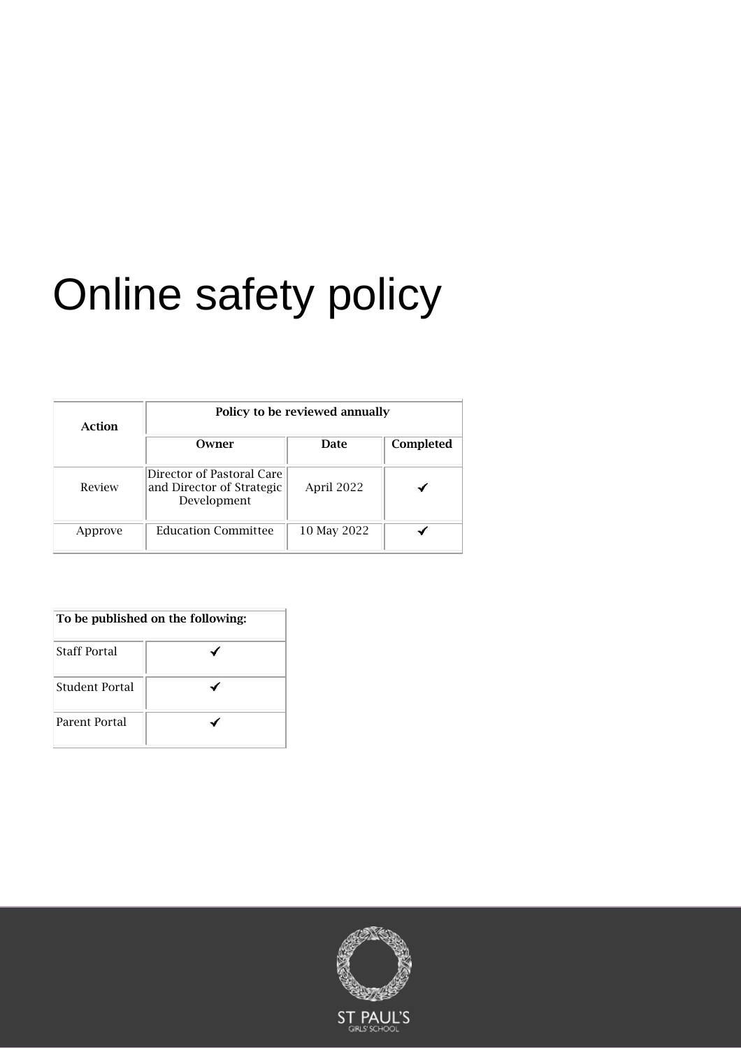# Online safety policy

| Action  | Policy to be reviewed annually                                        |             |           |
|---------|-----------------------------------------------------------------------|-------------|-----------|
|         | Owner                                                                 | Date        | Completed |
| Review  | Director of Pastoral Care<br>and Director of Strategic<br>Development | April 2022  |           |
| Approve | <b>Education Committee</b>                                            | 10 May 2022 |           |

| To be published on the following: |  |  |
|-----------------------------------|--|--|
| <b>Staff Portal</b>               |  |  |
| Student Portal                    |  |  |
| Parent Portal                     |  |  |

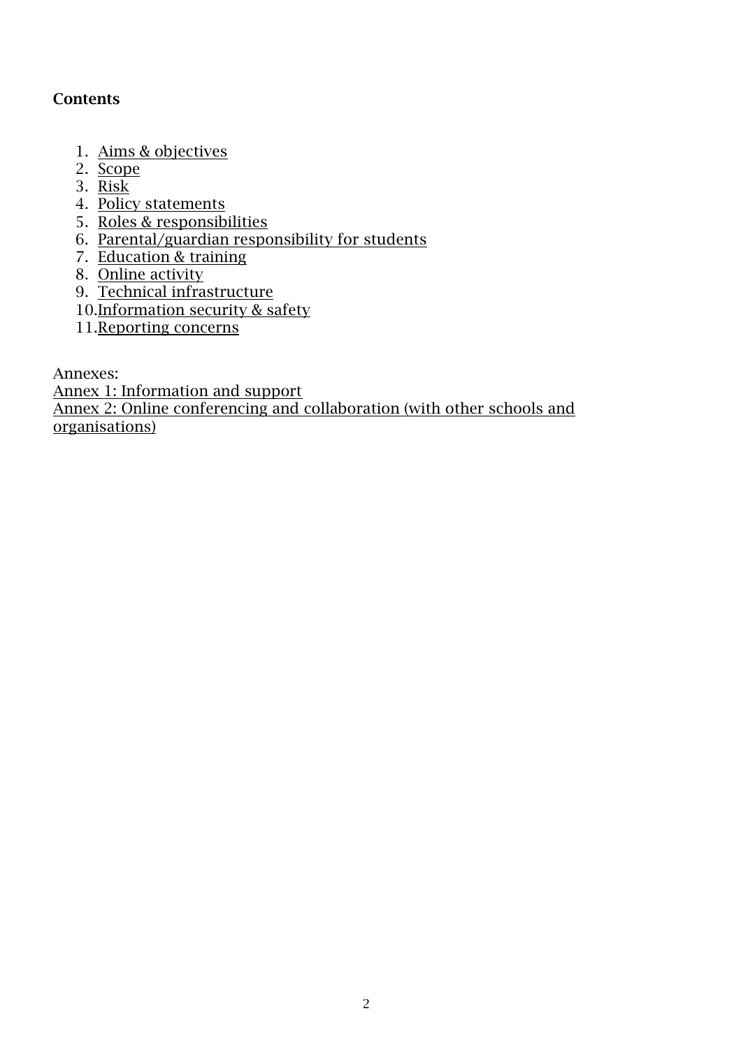# **Contents**

- 1. Aims & objectives
- 2. [Scope](#page-2-0)
- 3. [Risk](#page-2-1)
- 4. [Policy statements](#page-3-0)
- 5. [Roles & responsibilities](#page-4-0)
- 6. Parental/guardian responsibility for students
- 7. [Education & training](#page-7-0)
- 8. [Online activity](#page-9-0)
- 9. [Technical infrastructure](#page-10-0)
- 10[.Information security & safety](#page-10-1)
- 11.Reporting concerns

Annexes:

[Annex 1: Information and support](#page-11-0) Annex [2: Online conferencing and collaboration \(with other schools and](#page-13-0)  [organisations\)](#page-13-0)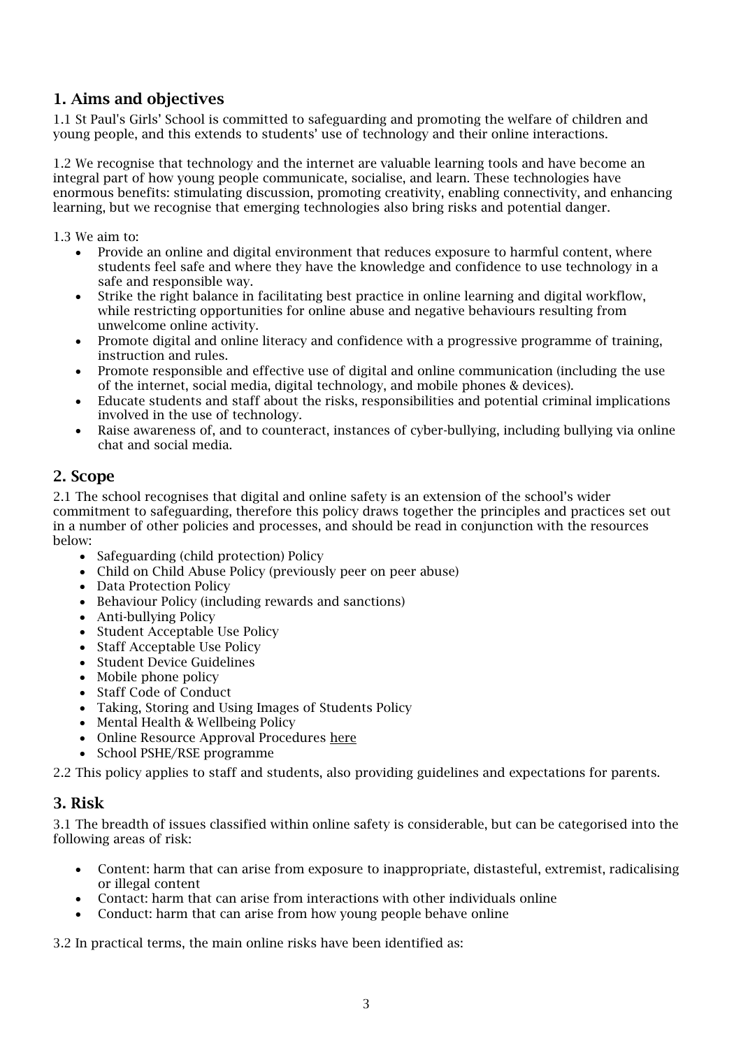# 1. Aims and objectives

1.1 St Paul's Girls' School is committed to safeguarding and promoting the welfare of children and young people, and this extends to students' use of technology and their online interactions.

1.2 We recognise that technology and the internet are valuable learning tools and have become an integral part of how young people communicate, socialise, and learn. These technologies have enormous benefits: stimulating discussion, promoting creativity, enabling connectivity, and enhancing learning, but we recognise that emerging technologies also bring risks and potential danger.

1.3 We aim to:

- Provide an online and digital environment that reduces exposure to harmful content, where students feel safe and where they have the knowledge and confidence to use technology in a safe and responsible way.
- Strike the right balance in facilitating best practice in online learning and digital workflow, while restricting opportunities for online abuse and negative behaviours resulting from unwelcome online activity.
- Promote digital and online literacy and confidence with a progressive programme of training, instruction and rules.
- Promote responsible and effective use of digital and online communication (including the use of the internet, social media, digital technology, and mobile phones & devices).
- Educate students and staff about the risks, responsibilities and potential criminal implications involved in the use of technology.
- Raise awareness of, and to counteract, instances of cyber-bullying, including bullying via online chat and social media.

# <span id="page-2-0"></span>2. Scope

2.1 The school recognises that digital and online safety is an extension of the school's wider commitment to safeguarding, therefore this policy draws together the principles and practices set out in a number of other policies and processes, and should be read in conjunction with the resources below:

- Safeguarding (child protection) Policy
- Child on Child Abuse Policy (previously peer on peer abuse)
- Data Protection Policy
- Behaviour Policy (including rewards and sanctions)
- Anti-bullying Policy
- Student Acceptable Use Policy
- Staff Acceptable Use Policy
- Student Device Guidelines
- Mobile phone policy
- Staff Code of Conduct
- Taking, Storing and Using Images of Students Policy
- Mental Health & Wellbeing Policy
- Online Resource Approval Procedures [here](https://stpaulsgirlsschool.sharepoint.com/sites/Staff/SitePages/Online-Resources-Approval-List.aspx)
- School PSHE/RSE programme

2.2 This policy applies to staff and students, also providing guidelines and expectations for parents.

# <span id="page-2-1"></span>3. Risk

3.1 The breadth of issues classified within online safety is considerable, but can be categorised into the following areas of risk:

- Content: harm that can arise from exposure to inappropriate, distasteful, extremist, radicalising or illegal content
- Contact: harm that can arise from interactions with other individuals online
- Conduct: harm that can arise from how young people behave online

3.2 In practical terms, the main online risks have been identified as: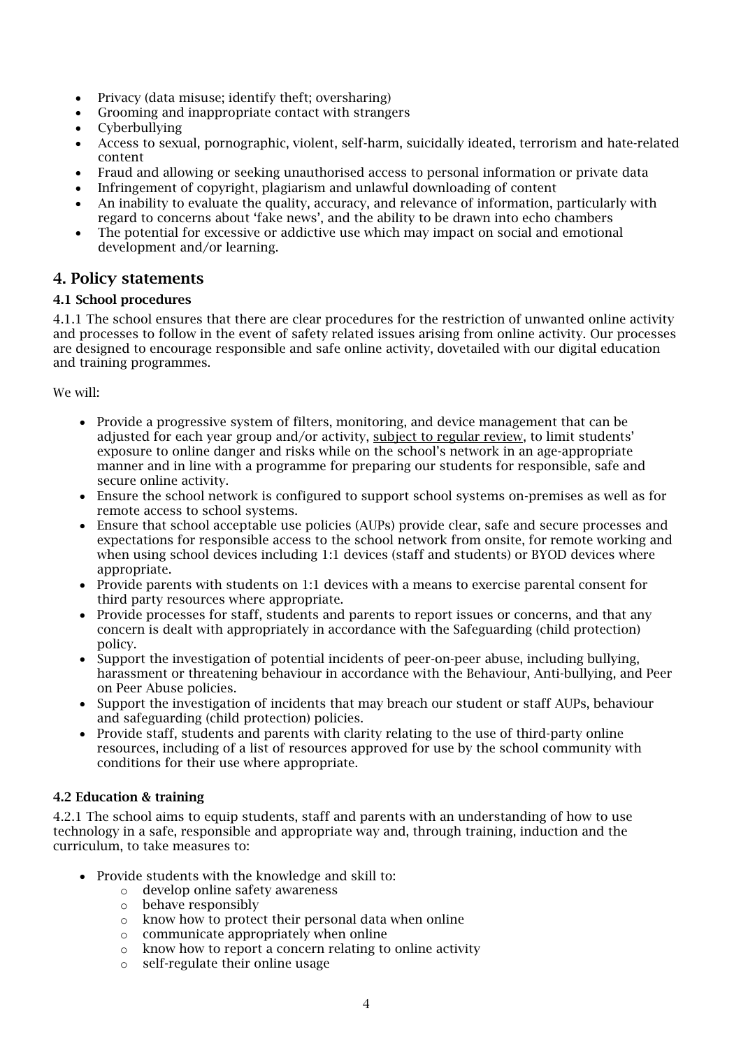- Privacy (data misuse; identify theft; oversharing)
- Grooming and inappropriate contact with strangers
- Cyberbullying
- Access to sexual, pornographic, violent, self-harm, suicidally ideated, terrorism and hate-related content
- Fraud and allowing or seeking unauthorised access to personal information or private data
- Infringement of copyright, plagiarism and unlawful downloading of content
- An inability to evaluate the quality, accuracy, and relevance of information, particularly with regard to concerns about 'fake news', and the ability to be drawn into echo chambers
- The potential for excessive or addictive use which may impact on social and emotional development and/or learning.

# <span id="page-3-0"></span>4. Policy statements

# 4.1 School procedures

4.1.1 The school ensures that there are clear procedures for the restriction of unwanted online activity and processes to follow in the event of safety related issues arising from online activity. Our processes are designed to encourage responsible and safe online activity, dovetailed with our digital education and training programmes.

We will:

- Provide a progressive system of filters, monitoring, and device management that can be adjusted for each year group and/or activity, subject to regular review, to limit students' exposure to online danger and risks while on the school's network in an age-appropriate manner and in line with a programme for preparing our students for responsible, safe and secure online activity.
- Ensure the school network is configured to support school systems on-premises as well as for remote access to school systems.
- Ensure that school acceptable use policies (AUPs) provide clear, safe and secure processes and expectations for responsible access to the school network from onsite, for remote working and when using school devices including 1:1 devices (staff and students) or BYOD devices where appropriate.
- Provide parents with students on 1:1 devices with a means to exercise parental consent for third party resources where appropriate.
- Provide processes for staff, students and parents to report issues or concerns, and that any concern is dealt with appropriately in accordance with the Safeguarding (child protection) policy.
- Support the investigation of potential incidents of peer-on-peer abuse, including bullying, harassment or threatening behaviour in accordance with the Behaviour, Anti-bullying, and Peer on Peer Abuse policies.
- Support the investigation of incidents that may breach our student or staff AUPs, behaviour and safeguarding (child protection) policies.
- Provide staff, students and parents with clarity relating to the use of third-party online resources, including of a list of resources approved for use by the school community with conditions for their use where appropriate.

# 4.2 Education & training

4.2.1 The school aims to equip students, staff and parents with an understanding of how to use technology in a safe, responsible and appropriate way and, through training, induction and the curriculum, to take measures to:

- Provide students with the knowledge and skill to:
	- o develop online safety awareness
	- o behave responsibly
	- o know how to protect their personal data when online
	- o communicate appropriately when online
	- o know how to report a concern relating to online activity
	- o self-regulate their online usage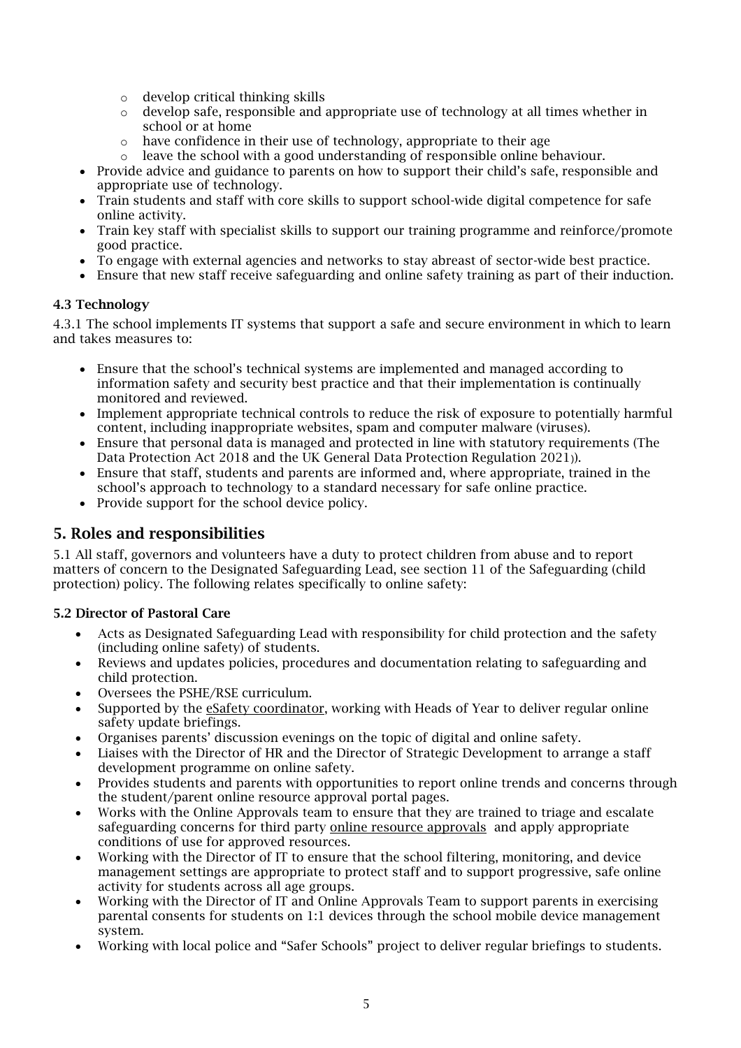- o develop critical thinking skills
- $\circ$  develop safe, responsible and appropriate use of technology at all times whether in school or at home
- o have confidence in their use of technology, appropriate to their age
- o leave the school with a good understanding of responsible online behaviour.
- Provide advice and guidance to parents on how to support their child's safe, responsible and appropriate use of technology.
- Train students and staff with core skills to support school-wide digital competence for safe online activity.
- Train key staff with specialist skills to support our training programme and reinforce/promote good practice.
- To engage with external agencies and networks to stay abreast of sector-wide best practice.
- Ensure that new staff receive safeguarding and online safety training as part of their induction.

#### 4.3 Technology

4.3.1 The school implements IT systems that support a safe and secure environment in which to learn and takes measures to:

- Ensure that the school's technical systems are implemented and managed according to information safety and security best practice and that their implementation is continually monitored and reviewed.
- Implement appropriate technical controls to reduce the risk of exposure to potentially harmful content, including inappropriate websites, spam and computer malware (viruses).
- Ensure that personal data is managed and protected in line with statutory requirements (The Data Protection Act 2018 and the UK General Data Protection Regulation 2021)).
- Ensure that staff, students and parents are informed and, where appropriate, trained in the school's approach to technology to a standard necessary for safe online practice.
- Provide support for the school device policy.

# <span id="page-4-0"></span>5. Roles and responsibilities

5.1 All staff, governors and volunteers have a duty to protect children from abuse and to report matters of concern to the Designated Safeguarding Lead, see section 11 of the Safeguarding (child protection) policy. The following relates specifically to online safety:

# 5.2 Director of Pastoral Care

- Acts as Designated Safeguarding Lead with responsibility for child protection and the safety (including online safety) of students.
- Reviews and updates policies, procedures and documentation relating to safeguarding and child protection.
- Oversees the PSHE/RSE curriculum.
- Supported by the esafety coordinator, working with Heads of Year to deliver regular online safety update briefings.
- Organises parents' discussion evenings on the topic of digital and online safety.
- Liaises with the Director of HR and the Director of Strategic Development to arrange a staff development programme on online safety.
- Provides students and parents with opportunities to report online trends and concerns through the student/parent online resource approval portal pages.
- Works with the Online Approvals team to ensure that they are trained to triage and escalate safeguarding concerns for third party [online resource approvals](https://stpaulsgirlsschool.sharepoint.com/sites/Staff/SitePages/Online-Resources-Approval-List.aspx) and apply appropriate conditions of use for approved resources.
- Working with the Director of IT to ensure that the school filtering, monitoring, and device management settings are appropriate to protect staff and to support progressive, safe online activity for students across all age groups.
- Working with the Director of IT and Online Approvals Team to support parents in exercising parental consents for students on 1:1 devices through the school mobile device management system.
- Working with local police and "Safer Schools" project to deliver regular briefings to students.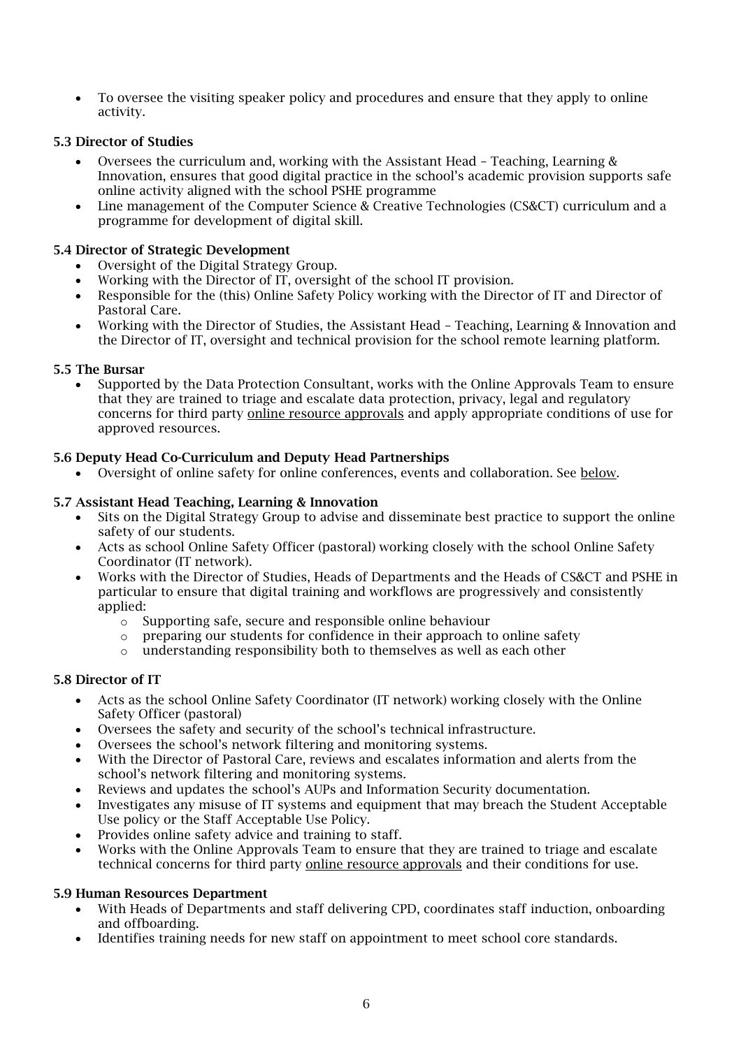• To oversee the visiting speaker policy and procedures and ensure that they apply to online activity.

# 5.3 Director of Studies

- Oversees the curriculum and, working with the Assistant Head Teaching, Learning & Innovation, ensures that good digital practice in the school's academic provision supports safe online activity aligned with the school PSHE programme
- Line management of the Computer Science & Creative Technologies (CS&CT) curriculum and a programme for development of digital skill.

# 5.4 Director of Strategic Development

- Oversight of the Digital Strategy Group.
- Working with the Director of IT, oversight of the school IT provision.
- Responsible for the (this) Online Safety Policy working with the Director of IT and Director of Pastoral Care.
- Working with the Director of Studies, the Assistant Head Teaching, Learning & Innovation and the Director of IT, oversight and technical provision for the school remote learning platform.

# 5.5 The Bursar

• Supported by the Data Protection Consultant, works with the Online Approvals Team to ensure that they are trained to triage and escalate data protection, privacy, legal and regulatory concerns for third party [online resource approvals](https://stpaulsgirlsschool.sharepoint.com/sites/Staff/SitePages/Online-Resources-Approval-List.aspx) and apply appropriate conditions of use for approved resources.

#### 5.6 Deputy Head Co-Curriculum and Deputy Head Partnerships

• Oversight of online safety for online conferences, events and collaboration. See [below.](#page-8-0)

#### 5.7 Assistant Head Teaching, Learning & Innovation

- Sits on the Digital Strategy Group to advise and disseminate best practice to support the online safety of our students.
- Acts as school Online Safety Officer (pastoral) working closely with the school Online Safety Coordinator (IT network).
- Works with the Director of Studies, Heads of Departments and the Heads of CS&CT and PSHE in particular to ensure that digital training and workflows are progressively and consistently applied:
	- o Supporting safe, secure and responsible online behaviour
	- $\circ$  preparing our students for confidence in their approach to online safety
	- o understanding responsibility both to themselves as well as each other

# 5.8 Director of IT

- <span id="page-5-0"></span>• Acts as the school Online Safety Coordinator (IT network) working closely with the Online Safety Officer (pastoral)
- Oversees the safety and security of the school's technical infrastructure.
- Oversees the school's network filtering and monitoring systems.
- With the Director of Pastoral Care, reviews and escalates information and alerts from the school's network filtering and monitoring systems.
- Reviews and updates the school's AUPs and Information Security documentation.
- Investigates any misuse of IT systems and equipment that may breach the Student Acceptable Use policy or the Staff Acceptable Use Policy.
- Provides online safety advice and training to staff.
- Works with the Online Approvals Team to ensure that they are trained to triage and escalate technical concerns for third party online resource approvals and their conditions for use.

#### 5.9 Human Resources Department

- With Heads of Departments and staff delivering CPD, coordinates staff induction, onboarding and offboarding.
- Identifies training needs for new staff on appointment to meet school core standards.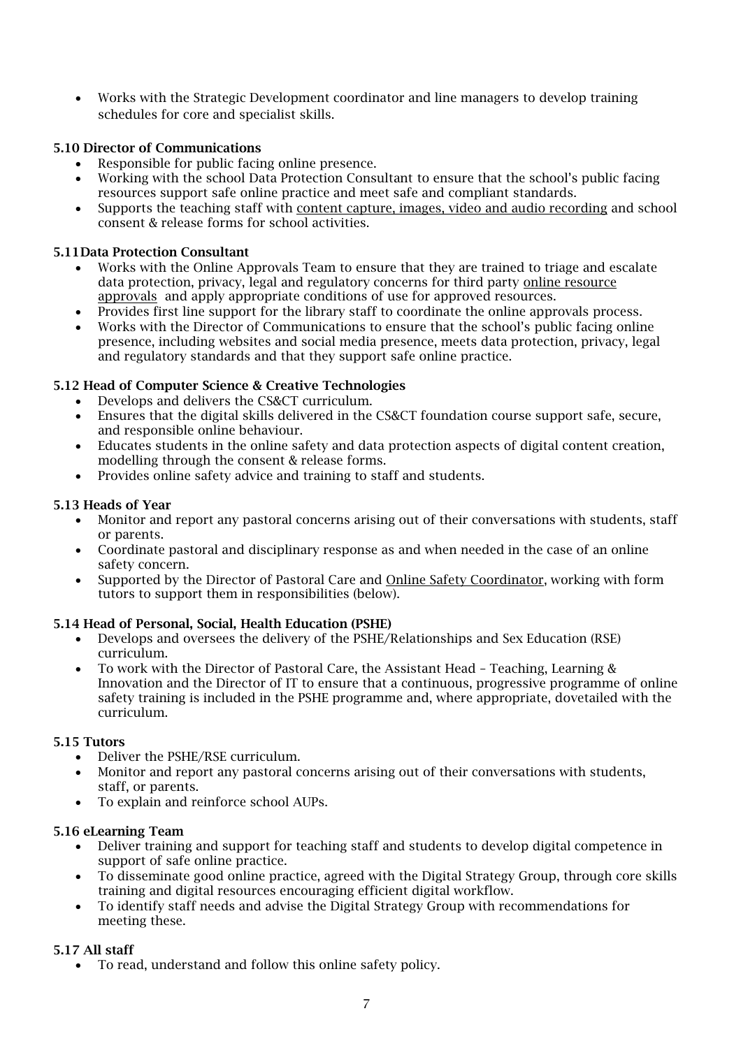• Works with the Strategic Development coordinator and line managers to develop training schedules for core and specialist skills.

# 5.10 Director of Communications

- Responsible for public facing online presence.
- Working with the school Data Protection Consultant to ensure that the school's public facing resources support safe online practice and meet safe and compliant standards.
- Supports the teaching staff with [content capture, images, video and audio recording](#page-10-2) and school consent & release forms for school activities.

#### 5.11Data Protection Consultant

- Works with the Online Approvals Team to ensure that they are trained to triage and escalate data protection, privacy, legal and regulatory concerns for third party [online resource](https://stpaulsgirlsschool.sharepoint.com/sites/Staff/SitePages/Online-Resources-Approval-List.aspx)  [approvals](https://stpaulsgirlsschool.sharepoint.com/sites/Staff/SitePages/Online-Resources-Approval-List.aspx) and apply appropriate conditions of use for approved resources.
- Provides first line support for the library staff to coordinate the online approvals process.
- Works with the Director of Communications to ensure that the school's public facing online presence, including websites and social media presence, meets data protection, privacy, legal and regulatory standards and that they support safe online practice.

#### 5.12 Head of Computer Science & Creative Technologies

- Develops and delivers the CS&CT curriculum.
- Ensures that the digital skills delivered in the CS&CT foundation course support safe, secure, and responsible online behaviour.
- Educates students in the online safety and data protection aspects of digital content creation, modelling through the consent & release forms.
- Provides online safety advice and training to staff and students.

#### 5.13 Heads of Year

- Monitor and report any pastoral concerns arising out of their conversations with students, staff or parents.
- Coordinate pastoral and disciplinary response as and when needed in the case of an online safety concern.
- Supported by the Director of Pastoral Care and [Online Safety Coordinator,](#page-5-0) working with form tutors to support them in responsibilities (below).

# 5.14 Head of Personal, Social, Health Education (PSHE)

- Develops and oversees the delivery of the PSHE/Relationships and Sex Education (RSE) curriculum.
- To work with the Director of Pastoral Care, the Assistant Head Teaching, Learning & Innovation and the Director of IT to ensure that a continuous, progressive programme of online safety training is included in the PSHE programme and, where appropriate, dovetailed with the curriculum.

# 5.15 Tutors

- Deliver the PSHE/RSE curriculum.
- Monitor and report any pastoral concerns arising out of their conversations with students, staff, or parents.
- To explain and reinforce school AUPs.

#### 5.16 eLearning Team

- Deliver training and support for teaching staff and students to develop digital competence in support of safe online practice.
- To disseminate good online practice, agreed with the Digital Strategy Group, through core skills training and digital resources encouraging efficient digital workflow.
- To identify staff needs and advise the Digital Strategy Group with recommendations for meeting these.

# 5.17 All staff

• To read, understand and follow this online safety policy.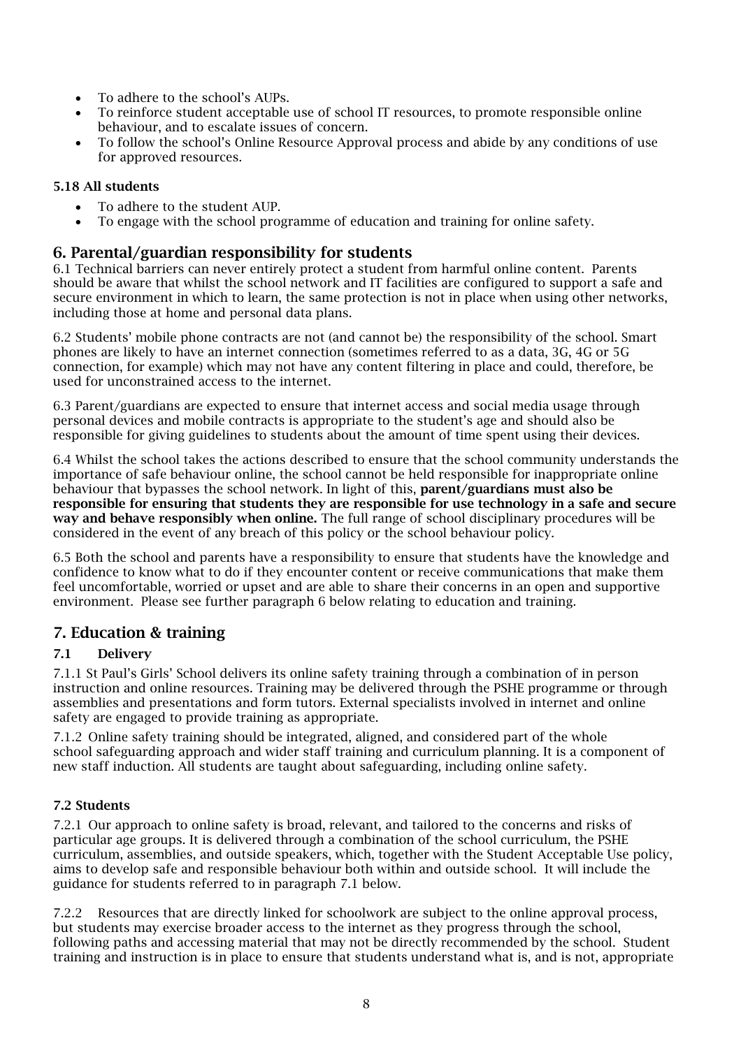- To adhere to the school's AUPs.
- To reinforce student acceptable use of school IT resources, to promote responsible online behaviour, and to escalate issues of concern.
- To follow the school's Online Resource Approval process and abide by any conditions of use for approved resources.

# 5.18 All students

- To adhere to the student AUP.
- To engage with the school programme of education and training for online safety.

# 6. Parental/guardian responsibility for students

6.1 Technical barriers can never entirely protect a student from harmful online content. Parents should be aware that whilst the school network and IT facilities are configured to support a safe and secure environment in which to learn, the same protection is not in place when using other networks, including those at home and personal data plans.

6.2 Students' mobile phone contracts are not (and cannot be) the responsibility of the school. Smart phones are likely to have an internet connection (sometimes referred to as a data, 3G, 4G or 5G connection, for example) which may not have any content filtering in place and could, therefore, be used for unconstrained access to the internet.

6.3 Parent/guardians are expected to ensure that internet access and social media usage through personal devices and mobile contracts is appropriate to the student's age and should also be responsible for giving guidelines to students about the amount of time spent using their devices.

6.4 Whilst the school takes the actions described to ensure that the school community understands the importance of safe behaviour online, the school cannot be held responsible for inappropriate online behaviour that bypasses the school network. In light of this, parent/guardians must also be responsible for ensuring that students they are responsible for use technology in a safe and secure way and behave responsibly when online. The full range of school disciplinary procedures will be considered in the event of any breach of this policy or the school behaviour policy.

6.5 Both the school and parents have a responsibility to ensure that students have the knowledge and confidence to know what to do if they encounter content or receive communications that make them feel uncomfortable, worried or upset and are able to share their concerns in an open and supportive environment. Please see further paragraph 6 below relating to education and training.

# <span id="page-7-0"></span>7. Education & training

# 7.1 Delivery

7.1.1 St Paul's Girls' School delivers its online safety training through a combination of in person instruction and online resources. Training may be delivered through the PSHE programme or through assemblies and presentations and form tutors. External specialists involved in internet and online safety are engaged to provide training as appropriate.

7.1.2 Online safety training should be integrated, aligned, and considered part of the whole school safeguarding approach and wider staff training and curriculum planning. It is a component of new staff induction. All students are taught about safeguarding, including online safety.

# 7.2 Students

7.2.1 Our approach to online safety is broad, relevant, and tailored to the concerns and risks of particular age groups. It is delivered through a combination of the school curriculum, the PSHE curriculum, assemblies, and outside speakers, which, together with the Student Acceptable Use policy, aims to develop safe and responsible behaviour both within and outside school. It will include the guidance for students referred to in paragraph 7.1 below.

7.2.2 Resources that are directly linked for schoolwork are subject to the online approval process, but students may exercise broader access to the internet as they progress through the school, following paths and accessing material that may not be directly recommended by the school. Student training and instruction is in place to ensure that students understand what is, and is not, appropriate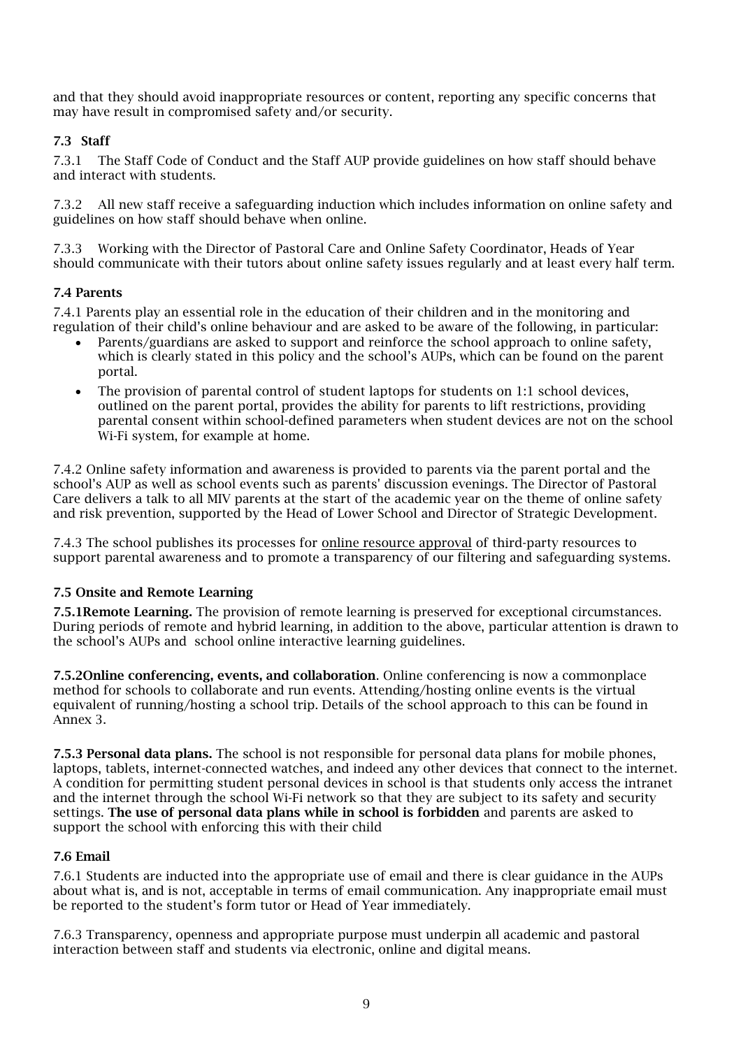and that they should avoid inappropriate resources or content, reporting any specific concerns that may have result in compromised safety and/or security.

# 7.3 Staff

7.3.1 The Staff Code of Conduct and the Staff AUP provide guidelines on how staff should behave and interact with students.

7.3.2 All new staff receive a safeguarding induction which includes information on online safety and guidelines on how staff should behave when online.

7.3.3 Working with the Director of Pastoral Care and Online Safety Coordinator, Heads of Year should communicate with their tutors about online safety issues regularly and at least every half term.

# 7.4 Parents

7.4.1 Parents play an essential role in the education of their children and in the monitoring and regulation of their child's online behaviour and are asked to be aware of the following, in particular:

- Parents/guardians are asked to support and reinforce the school approach to online safety, which is clearly stated in this policy and the school's AUPs, which can be found on the parent portal.
- The provision of parental control of student laptops for students on 1:1 school devices, outlined on the parent portal, provides the ability for parents to lift restrictions, providing parental consent within school-defined parameters when student devices are not on the school Wi-Fi system, for example at home.

7.4.2 Online safety information and awareness is provided to parents via the parent portal and the school's AUP as well as school events such as parents' discussion evenings. The Director of Pastoral Care delivers a talk to all MIV parents at the start of the academic year on the theme of online safety and risk prevention, supported by the Head of Lower School and Director of Strategic Development.

7.4.3 The school publishes its processes for online resource approval of third-party resources to support parental awareness and to promote a transparency of our filtering and safeguarding systems.

# 7.5 Onsite and Remote Learning

7.5.1Remote Learning. The provision of remote learning is preserved for exceptional circumstances. During periods of remote and hybrid learning, in addition to the above, particular attention is drawn to the school's AUPs and school online interactive learning guidelines.

<span id="page-8-0"></span>7.5.2Online conferencing, events, and collaboration. Online conferencing is now a commonplace method for schools to collaborate and run events. Attending/hosting online events is the virtual equivalent of running/hosting a school trip. Details of the school approach to this can be found in [Annex 3.](#page-13-0)

7.5.3 Personal data plans. The school is not responsible for personal data plans for mobile phones, laptops, tablets, internet-connected watches, and indeed any other devices that connect to the internet. A condition for permitting student personal devices in school is that students only access the intranet and the internet through the school Wi-Fi network so that they are subject to its safety and security settings. The use of personal data plans while in school is forbidden and parents are asked to support the school with enforcing this with their child

# 7.6 Email

7.6.1 Students are inducted into the appropriate use of email and there is clear guidance in the AUPs about what is, and is not, acceptable in terms of email communication. Any inappropriate email must be reported to the student's form tutor or Head of Year immediately.

7.6.3 Transparency, openness and appropriate purpose must underpin all academic and pastoral interaction between staff and students via electronic, online and digital means.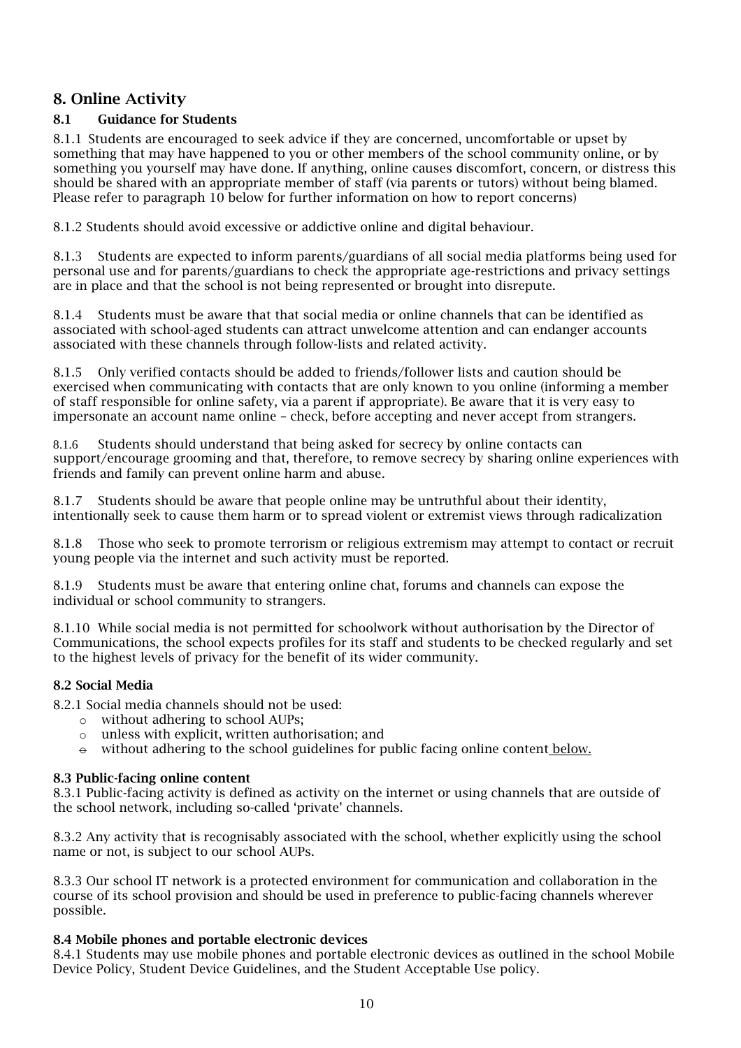# <span id="page-9-0"></span>8. Online Activity

# 8.1 Guidance for Students

8.1.1 Students are encouraged to seek advice if they are concerned, uncomfortable or upset by something that may have happened to you or other members of the school community online, or by something you yourself may have done. If anything, online causes discomfort, concern, or distress this should be shared with an appropriate member of staff (via parents or tutors) without being blamed. Please refer to paragraph 10 below for further information on how to report concerns)

8.1.2 Students should avoid excessive or addictive online and digital behaviour.

8.1.3 Students are expected to inform parents/guardians of all social media platforms being used for personal use and for parents/guardians to check the appropriate age-restrictions and privacy settings are in place and that the school is not being represented or brought into disrepute.

8.1.4 Students must be aware that that social media or online channels that can be identified as associated with school-aged students can attract unwelcome attention and can endanger accounts associated with these channels through follow-lists and related activity.

8.1.5 Only verified contacts should be added to friends/follower lists and caution should be exercised when communicating with contacts that are only known to you online (informing a member of staff responsible for online safety, via a parent if appropriate). Be aware that it is very easy to impersonate an account name online – check, before accepting and never accept from strangers.

8.1.6 Students should understand that being asked for secrecy by online contacts can support/encourage grooming and that, therefore, to remove secrecy by sharing online experiences with friends and family can prevent online harm and abuse.

8.1.7 Students should be aware that people online may be untruthful about their identity, intentionally seek to cause them harm or to spread violent or extremist views through radicalization

8.1.8 Those who seek to promote terrorism or religious extremism may attempt to contact or recruit young people via the internet and such activity must be reported.

8.1.9 Students must be aware that entering online chat, forums and channels can expose the individual or school community to strangers.

8.1.10 While social media is not permitted for schoolwork without authorisation by the Director of Communications, the school expects profiles for its staff and students to be checked regularly and set to the highest levels of privacy for the benefit of its wider community.

# 8.2 Social Media

8.2.1 Social media channels should not be used:

- o without adhering to school AUPs;
- o unless with explicit, written authorisation; and
- $\theta$  without adhering to the school guidelines for public facing online content below.

#### 8.3 Public-facing online content

8.3.1 Public-facing activity is defined as activity on the internet or using channels that are outside of the school network, including so-called 'private' channels.

8.3.2 Any activity that is recognisably associated with the school, whether explicitly using the school name or not, is subject to our school AUPs.

8.3.3 Our school IT network is a protected environment for communication and collaboration in the course of its school provision and should be used in preference to public-facing channels wherever possible.

#### 8.4 Mobile phones and portable electronic devices

8.4.1 Students may use mobile phones and portable electronic devices as outlined in the school Mobile Device Policy, Student Device Guidelines, and the Student Acceptable Use policy.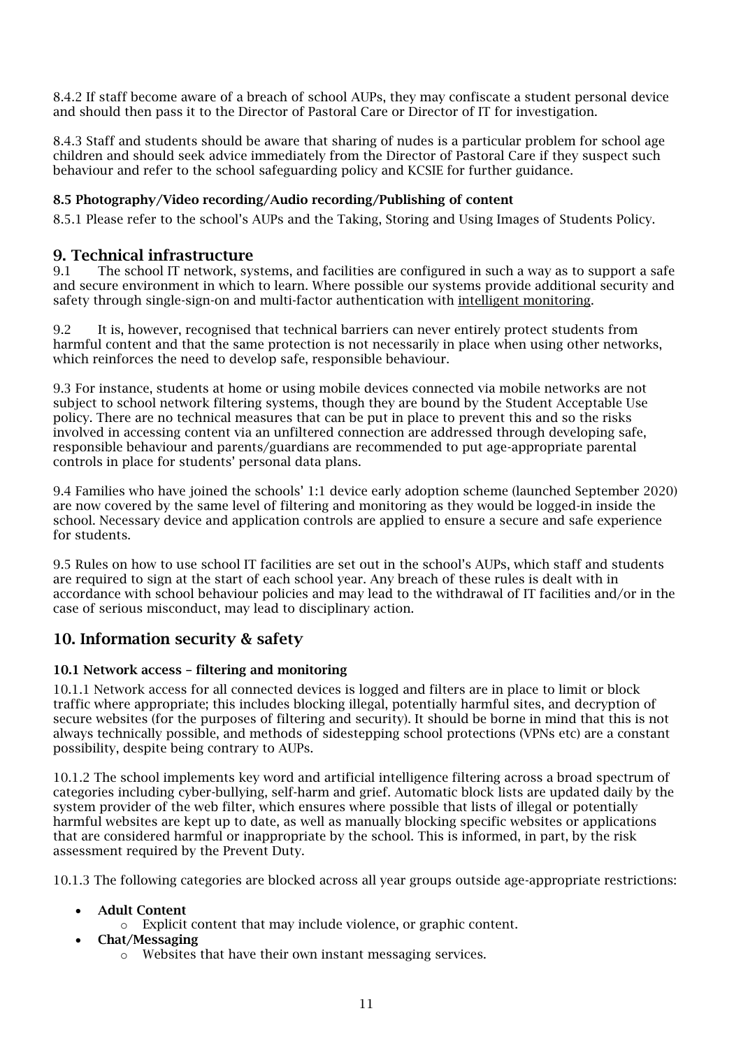8.4.2 If staff become aware of a breach of school AUPs, they may confiscate a student personal device and should then pass it to the Director of Pastoral Care or Director of IT for investigation.

8.4.3 Staff and students should be aware that sharing of nudes is a particular problem for school age children and should seek advice immediately from the Director of Pastoral Care if they suspect such behaviour and refer to the school safeguarding policy and KCSIE for further guidance.

# <span id="page-10-2"></span>8.5 Photography/Video recording/Audio recording/Publishing of content

8.5.1 Please refer to the school's AUPs and the Taking, Storing and Using Images of Students Policy.

# <span id="page-10-0"></span>**9. Technical infrastructure**<br> $91$  The school IT network sys

The school IT network, systems, and facilities are configured in such a way as to support a safe and secure environment in which to learn. Where possible our systems provide additional security and safety through single-sign-on and multi-factor authentication with [intelligent monitoring.](#page-10-3)

9.2 It is, however, recognised that technical barriers can never entirely protect students from harmful content and that the same protection is not necessarily in place when using other networks, which reinforces the need to develop safe, responsible behaviour.

9.3 For instance, students at home or using mobile devices connected via mobile networks are not subject to school network filtering systems, though they are bound by the Student Acceptable Use policy. There are no technical measures that can be put in place to prevent this and so the risks involved in accessing content via an unfiltered connection are addressed through developing safe, responsible behaviour and parents/guardians are recommended to put age-appropriate parental controls in place for students' personal data plans.

9.4 Families who have joined the schools' 1:1 device early adoption scheme (launched September 2020) are now covered by the same level of filtering and monitoring as they would be logged-in inside the school. Necessary device and application controls are applied to ensure a secure and safe experience for students.

9.5 Rules on how to use school IT facilities are set out in the school's AUPs, which staff and students are required to sign at the start of each school year. Any breach of these rules is dealt with in accordance with school behaviour policies and may lead to the withdrawal of IT facilities and/or in the case of serious misconduct, may lead to disciplinary action.

# <span id="page-10-1"></span>10. Information security & safety

# <span id="page-10-3"></span>10.1 Network access – filtering and monitoring

10.1.1 Network access for all connected devices is logged and filters are in place to limit or block traffic where appropriate; this includes blocking illegal, potentially harmful sites, and decryption of secure websites (for the purposes of filtering and security). It should be borne in mind that this is not always technically possible, and methods of sidestepping school protections (VPNs etc) are a constant possibility, despite being contrary to AUPs.

10.1.2 The school implements key word and artificial intelligence filtering across a broad spectrum of categories including cyber-bullying, self-harm and grief. Automatic block lists are updated daily by the system provider of the web filter, which ensures where possible that lists of illegal or potentially harmful websites are kept up to date, as well as manually blocking specific websites or applications that are considered harmful or inappropriate by the school. This is informed, in part, by the risk assessment required by the Prevent Duty.

10.1.3 The following categories are blocked across all year groups outside age-appropriate restrictions:

# • Adult Content

- o Explicit content that may include violence, or graphic content.
- Chat/Messaging
	- o Websites that have their own instant messaging services.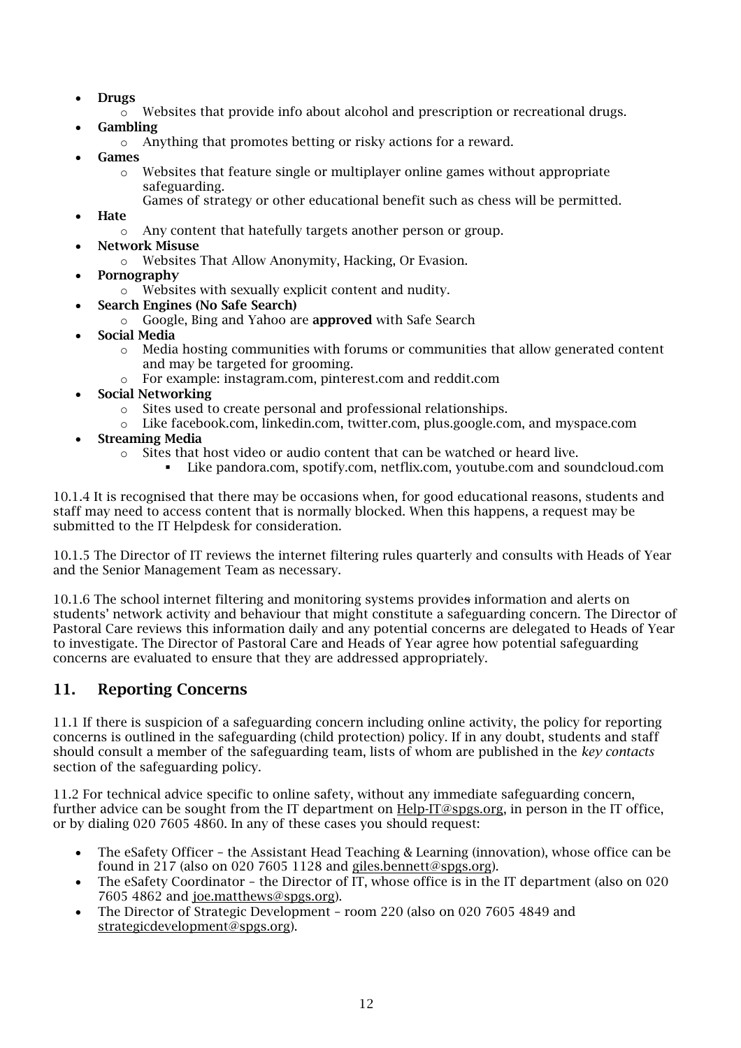- Drugs
	- $\circ$  Websites that provide info about alcohol and prescription or recreational drugs.
- Gambling
	- o Anything that promotes betting or risky actions for a reward.
- **Games** 
	- $\circ$  Websites that feature single or multiplayer online games without appropriate safeguarding.
		- Games of strategy or other educational benefit such as chess will be permitted.
- **Hate** 
	- o Any content that hatefully targets another person or group.
- Network Misuse
	- o Websites That Allow Anonymity, Hacking, Or Evasion.
- Pornography
	- o Websites with sexually explicit content and nudity.
- Search Engines (No Safe Search)
	- o Google, Bing and Yahoo are approved with Safe Search
- Social Media
	- o Media hosting communities with forums or communities that allow generated content and may be targeted for grooming.
	- o For example: instagram.com, pinterest.com and reddit.com
- Social Networking
	- o Sites used to create personal and professional relationships.
	- o Like facebook.com, linkedin.com, twitter.com, plus.google.com, and myspace.com
- **Streaming Media** 
	- o Sites that host video or audio content that can be watched or heard live.
		- Like pandora.com, spotify.com, netflix.com, youtube.com and soundcloud.com

10.1.4 It is recognised that there may be occasions when, for good educational reasons, students and staff may need to access content that is normally blocked. When this happens, a request may be submitted to the IT Helpdesk for consideration.

10.1.5 The Director of IT reviews the internet filtering rules quarterly and consults with Heads of Year and the Senior Management Team as necessary.

10.1.6 The school internet filtering and monitoring systems provides information and alerts on students' network activity and behaviour that might constitute a safeguarding concern. The Director of Pastoral Care reviews this information daily and any potential concerns are delegated to Heads of Year to investigate. The Director of Pastoral Care and Heads of Year agree how potential safeguarding concerns are evaluated to ensure that they are addressed appropriately.

# 11. Reporting Concerns

11.1 If there is suspicion of a safeguarding concern including online activity, the policy for reporting concerns is outlined in the safeguarding (child protection) policy. If in any doubt, students and staff should consult a member of the safeguarding team, lists of whom are published in the *key contacts* section of the safeguarding policy.

11.2 For technical advice specific to online safety, without any immediate safeguarding concern, further advice can be sought from the IT department on [Help-IT@spgs.org,](mailto:Help-IT@spgs.org) in person in the IT office, or by dialing 020 7605 4860. In any of these cases you should request:

- The eSafety Officer the Assistant Head Teaching & Learning (innovation), whose office can be found in 217 (also on 020 7605 1128 and [giles.bennett@spgs.org\)](mailto:giles.bennett@spgs.org).
- The eSafety Coordinator the Director of IT, whose office is in the IT department (also on 020 7605 4862 and [joe.matthews@spgs.org\)](mailto:joe.matthews@spgs.org).
- <span id="page-11-0"></span>• The Director of Strategic Development – room 220 (also on 020 7605 4849 and [strategicdevelopment@spgs.org\)](mailto:strategicdevelopment@spgs.org).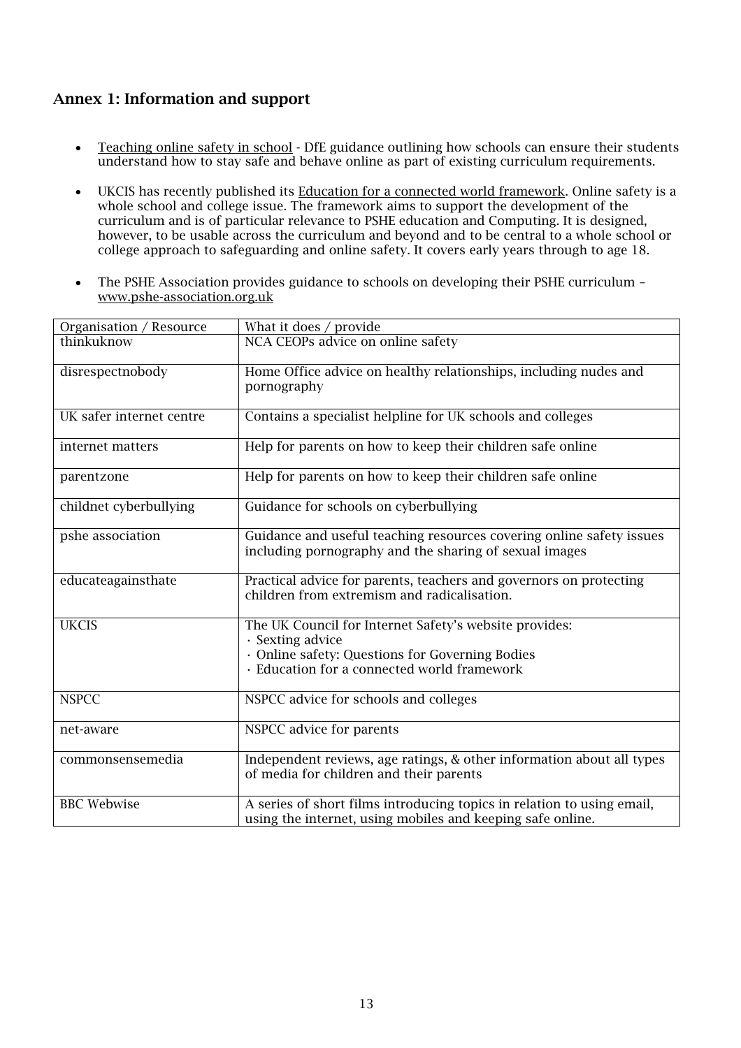# Annex 1: Information and support

- [Teaching online safety in school](https://www.gov.uk/government/publications/teaching-online-safety-in-schools) DfE guidance outlining how schools can ensure their students understand how to stay safe and behave online as part of existing curriculum requirements.
- UKCIS has recently published its [Education for a connected world framework.](https://www.gov.uk/government/publications/education-for-a-connected-world) Online safety is a whole school and college issue. The framework aims to support the development of the curriculum and is of particular relevance to PSHE education and Computing. It is designed, however, to be usable across the curriculum and beyond and to be central to a whole school or college approach to safeguarding and online safety. It covers early years through to age 18.
- The PSHE Association provides guidance to schools on developing their PSHE curriculum [www.pshe-association.org.uk](http://www.pshe-association.org.uk/)

| Organisation / Resource  | What it does $/$ provide                                                                                                                                                   |
|--------------------------|----------------------------------------------------------------------------------------------------------------------------------------------------------------------------|
| thinkuknow               | NCA CEOPs advice on online safety                                                                                                                                          |
| disrespectnobody         | Home Office advice on healthy relationships, including nudes and<br>pornography                                                                                            |
| UK safer internet centre | Contains a specialist helpline for UK schools and colleges                                                                                                                 |
| internet matters         | Help for parents on how to keep their children safe online                                                                                                                 |
| parentzone               | Help for parents on how to keep their children safe online                                                                                                                 |
| childnet cyberbullying   | Guidance for schools on cyberbullying                                                                                                                                      |
| pshe association         | Guidance and useful teaching resources covering online safety issues<br>including pornography and the sharing of sexual images                                             |
| educateagainsthate       | Practical advice for parents, teachers and governors on protecting<br>children from extremism and radicalisation.                                                          |
| <b>UKCIS</b>             | The UK Council for Internet Safety's website provides:<br>· Sexting advice<br>· Online safety: Questions for Governing Bodies<br>Education for a connected world framework |
| <b>NSPCC</b>             | NSPCC advice for schools and colleges                                                                                                                                      |
| net-aware                | NSPCC advice for parents                                                                                                                                                   |
| commonsensemedia         | Independent reviews, age ratings, & other information about all types<br>of media for children and their parents                                                           |
| <b>BBC</b> Webwise       | A series of short films introducing topics in relation to using email,<br>using the internet, using mobiles and keeping safe online.                                       |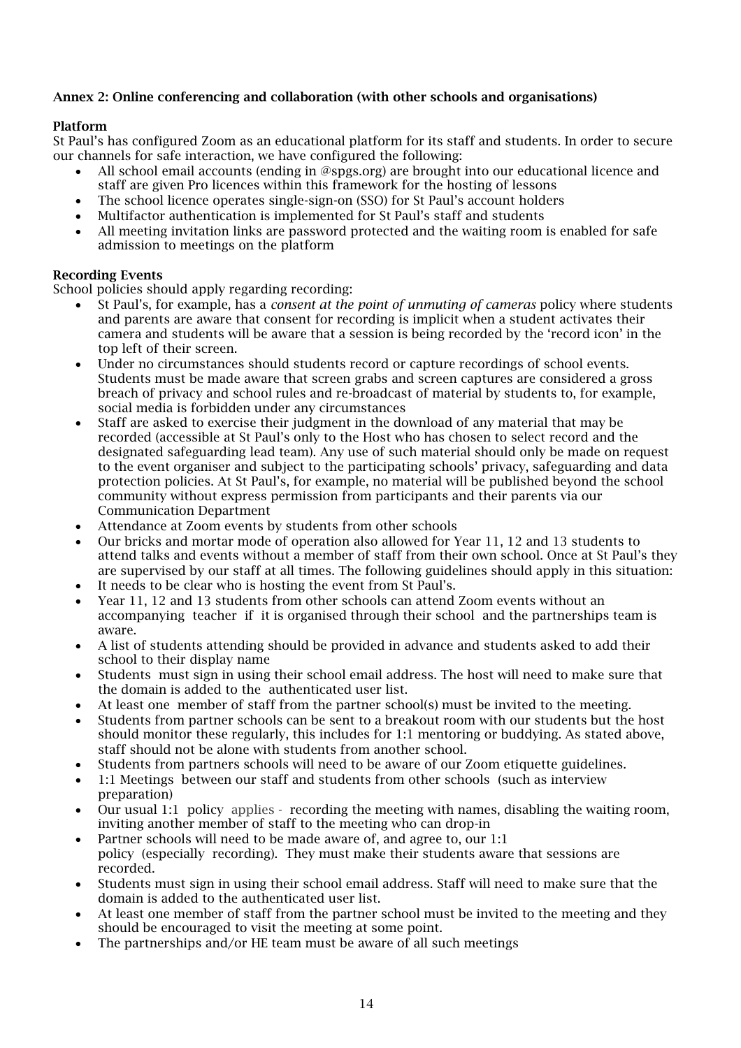# <span id="page-13-0"></span>Annex 2: Online conferencing and collaboration (with other schools and organisations)

#### Platform

St Paul's has configured Zoom as an educational platform for its staff and students. In order to secure our channels for safe interaction, we have configured the following:

- All school email accounts (ending in @spgs.org) are brought into our educational licence and staff are given Pro licences within this framework for the hosting of lessons
- The school licence operates single-sign-on (SSO) for St Paul's account holders
- Multifactor authentication is implemented for St Paul's staff and students
- All meeting invitation links are password protected and the waiting room is enabled for safe admission to meetings on the platform

#### Recording Events

School policies should apply regarding recording:

- St Paul's, for example, has a *consent at the point of unmuting of cameras* policy where students and parents are aware that consent for recording is implicit when a student activates their camera and students will be aware that a session is being recorded by the 'record icon' in the top left of their screen.
- Under no circumstances should students record or capture recordings of school events. Students must be made aware that screen grabs and screen captures are considered a gross breach of privacy and school rules and re-broadcast of material by students to, for example, social media is forbidden under any circumstances
- Staff are asked to exercise their judgment in the download of any material that may be recorded (accessible at St Paul's only to the Host who has chosen to select record and the designated safeguarding lead team). Any use of such material should only be made on request to the event organiser and subject to the participating schools' privacy, safeguarding and data protection policies. At St Paul's, for example, no material will be published beyond the school community without express permission from participants and their parents via our Communication Department
- Attendance at Zoom events by students from other schools
- Our bricks and mortar mode of operation also allowed for Year 11, 12 and 13 students to attend talks and events without a member of staff from their own school. Once at St Paul's they are supervised by our staff at all times. The following guidelines should apply in this situation:
- It needs to be clear who is hosting the event from St Paul's.
- Year 11, 12 and 13 students from other schools can attend Zoom events without an accompanying teacher if it is organised through their school and the partnerships team is aware.
- A list of students attending should be provided in advance and students asked to add their school to their display name
- Students must sign in using their school email address. The host will need to make sure that the domain is added to the authenticated user list.
- At least one member of staff from the partner school(s) must be invited to the meeting.
- Students from partner schools can be sent to a breakout room with our students but the host should monitor these regularly, this includes for 1:1 mentoring or buddying. As stated above, staff should not be alone with students from another school.
- Students from partners schools will need to be aware of our Zoom etiquette guidelines.
- 1:1 Meetings between our staff and students from other schools (such as interview preparation)
- Our usual 1:1 policy applies recording the meeting with names, disabling the waiting room, inviting another member of staff to the meeting who can drop-in
- Partner schools will need to be made aware of, and agree to, our 1:1 policy (especially recording). They must make their students aware that sessions are recorded.
- Students must sign in using their school email address. Staff will need to make sure that the domain is added to the authenticated user list.
- At least one member of staff from the partner school must be invited to the meeting and they should be encouraged to visit the meeting at some point.
- The partnerships and/or HE team must be aware of all such meetings